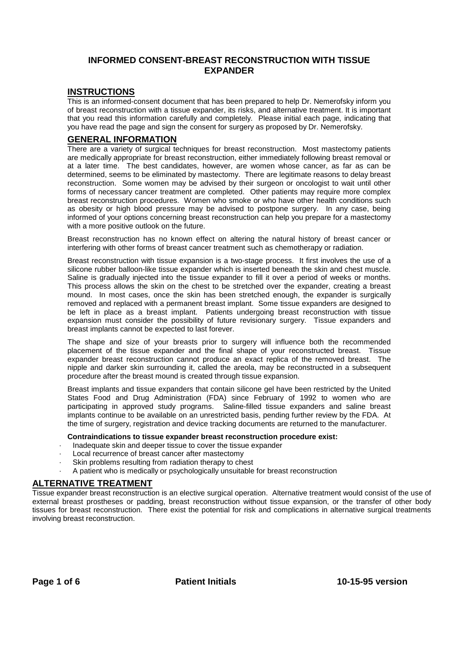## **INFORMED CONSENT-BREAST RECONSTRUCTION WITH TISSUE EXPANDER**

#### **INSTRUCTIONS**

This is an informed-consent document that has been prepared to help Dr. Nemerofsky inform you of breast reconstruction with a tissue expander, its risks, and alternative treatment. It is important that you read this information carefully and completely. Please initial each page, indicating that you have read the page and sign the consent for surgery as proposed by Dr. Nemerofsky.

#### **GENERAL INFORMATION**

There are a variety of surgical techniques for breast reconstruction. Most mastectomy patients are medically appropriate for breast reconstruction, either immediately following breast removal or at a later time. The best candidates, however, are women whose cancer, as far as can be determined, seems to be eliminated by mastectomy. There are legitimate reasons to delay breast reconstruction. Some women may be advised by their surgeon or oncologist to wait until other forms of necessary cancer treatment are completed. Other patients may require more complex breast reconstruction procedures. Women who smoke or who have other health conditions such as obesity or high blood pressure may be advised to postpone surgery. In any case, being informed of your options concerning breast reconstruction can help you prepare for a mastectomy with a more positive outlook on the future.

Breast reconstruction has no known effect on altering the natural history of breast cancer or interfering with other forms of breast cancer treatment such as chemotherapy or radiation.

Breast reconstruction with tissue expansion is a two-stage process. It first involves the use of a silicone rubber balloon-like tissue expander which is inserted beneath the skin and chest muscle. Saline is gradually injected into the tissue expander to fill it over a period of weeks or months. This process allows the skin on the chest to be stretched over the expander, creating a breast mound. In most cases, once the skin has been stretched enough, the expander is surgically removed and replaced with a permanent breast implant. Some tissue expanders are designed to be left in place as a breast implant. Patients undergoing breast reconstruction with tissue expansion must consider the possibility of future revisionary surgery. Tissue expanders and breast implants cannot be expected to last forever.

The shape and size of your breasts prior to surgery will influence both the recommended placement of the tissue expander and the final shape of your reconstructed breast. Tissue expander breast reconstruction cannot produce an exact replica of the removed breast. The nipple and darker skin surrounding it, called the areola, may be reconstructed in a subsequent procedure after the breast mound is created through tissue expansion.

Breast implants and tissue expanders that contain silicone gel have been restricted by the United States Food and Drug Administration (FDA) since February of 1992 to women who are participating in approved study programs. Saline-filled tissue expanders and saline breast implants continue to be available on an unrestricted basis, pending further review by the FDA. At the time of surgery, registration and device tracking documents are returned to the manufacturer.

#### **Contraindications to tissue expander breast reconstruction procedure exist:**

- Inadequate skin and deeper tissue to cover the tissue expander
- Local recurrence of breast cancer after mastectomy
- Skin problems resulting from radiation therapy to chest
- · A patient who is medically or psychologically unsuitable for breast reconstruction

#### **ALTERNATIVE TREATMENT**

Tissue expander breast reconstruction is an elective surgical operation. Alternative treatment would consist of the use of external breast prostheses or padding, breast reconstruction without tissue expansion, or the transfer of other body tissues for breast reconstruction. There exist the potential for risk and complications in alternative surgical treatments involving breast reconstruction.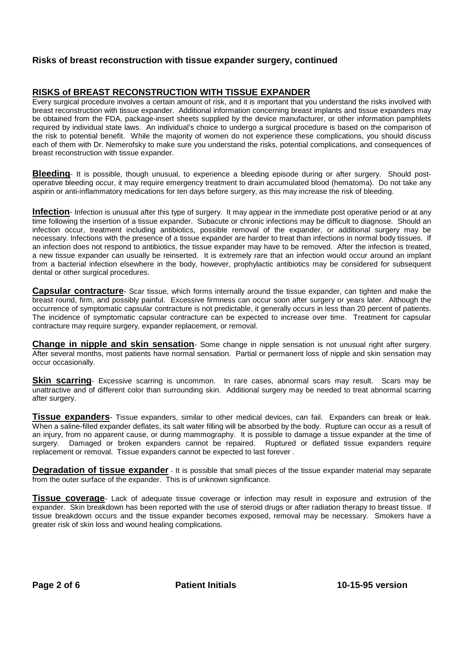## **RISKS of BREAST RECONSTRUCTION WITH TISSUE EXPANDER**

Every surgical procedure involves a certain amount of risk, and it is important that you understand the risks involved with breast reconstruction with tissue expander. Additional information concerning breast implants and tissue expanders may be obtained from the FDA, package-insert sheets supplied by the device manufacturer, or other information pamphlets required by individual state laws. An individual's choice to undergo a surgical procedure is based on the comparison of the risk to potential benefit. While the majority of women do not experience these complications, you should discuss each of them with Dr. Nemerofsky to make sure you understand the risks, potential complications, and consequences of breast reconstruction with tissue expander.

**Bleeding**- It is possible, though unusual, to experience a bleeding episode during or after surgery. Should postoperative bleeding occur, it may require emergency treatment to drain accumulated blood (hematoma). Do not take any aspirin or anti-inflammatory medications for ten days before surgery, as this may increase the risk of bleeding.

**Infection**- Infection is unusual after this type of surgery. It may appear in the immediate post operative period or at any time following the insertion of a tissue expander. Subacute or chronic infections may be difficult to diagnose. Should an infection occur, treatment including antibiotics, possible removal of the expander, or additional surgery may be necessary. Infections with the presence of a tissue expander are harder to treat than infections in normal body tissues. If an infection does not respond to antibiotics, the tissue expander may have to be removed. After the infection is treated, a new tissue expander can usually be reinserted. It is extremely rare that an infection would occur around an implant from a bacterial infection elsewhere in the body, however, prophylactic antibiotics may be considered for subsequent dental or other surgical procedures.

**Capsular contracture**- Scar tissue, which forms internally around the tissue expander, can tighten and make the breast round, firm, and possibly painful. Excessive firmness can occur soon after surgery or years later. Although the occurrence of symptomatic capsular contracture is not predictable, it generally occurs in less than 20 percent of patients. The incidence of symptomatic capsular contracture can be expected to increase over time. Treatment for capsular contracture may require surgery, expander replacement, or removal.

**Change in nipple and skin sensation**- Some change in nipple sensation is not unusual right after surgery. After several months, most patients have normal sensation. Partial or permanent loss of nipple and skin sensation may occur occasionally.

**Skin scarring**- Excessive scarring is uncommon. In rare cases, abnormal scars may result. Scars may be unattractive and of different color than surrounding skin. Additional surgery may be needed to treat abnormal scarring after surgery.

**Tissue expanders**- Tissue expanders, similar to other medical devices, can fail. Expanders can break or leak. When a saline-filled expander deflates, its salt water filling will be absorbed by the body. Rupture can occur as a result of an injury, from no apparent cause, or during mammography. It is possible to damage a tissue expander at the time of surgery. Damaged or broken expanders cannot be repaired. Ruptured or deflated tissue expanders require replacement or removal. Tissue expanders cannot be expected to last forever .

**Degradation of tissue expander** - It is possible that small pieces of the tissue expander material may separate from the outer surface of the expander. This is of unknown significance.

**Tissue coverage**- Lack of adequate tissue coverage or infection may result in exposure and extrusion of the expander. Skin breakdown has been reported with the use of steroid drugs or after radiation therapy to breast tissue. If tissue breakdown occurs and the tissue expander becomes exposed, removal may be necessary. Smokers have a greater risk of skin loss and wound healing complications.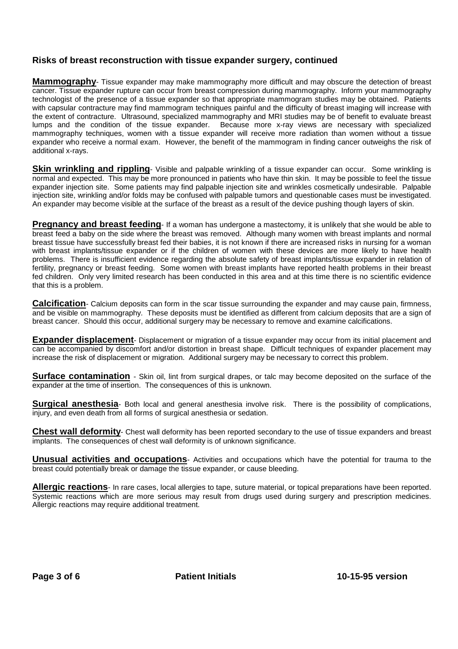**Mammography**- Tissue expander may make mammography more difficult and may obscure the detection of breast cancer. Tissue expander rupture can occur from breast compression during mammography. Inform your mammography technologist of the presence of a tissue expander so that appropriate mammogram studies may be obtained. Patients with capsular contracture may find mammogram techniques painful and the difficulty of breast imaging will increase with the extent of contracture. Ultrasound, specialized mammography and MRI studies may be of benefit to evaluate breast lumps and the condition of the tissue expander. Because more x-ray views are necessary with specialized mammography techniques, women with a tissue expander will receive more radiation than women without a tissue expander who receive a normal exam. However, the benefit of the mammogram in finding cancer outweighs the risk of additional x-rays.

**Skin wrinkling and rippling**- Visible and palpable wrinkling of a tissue expander can occur. Some wrinkling is normal and expected. This may be more pronounced in patients who have thin skin. It may be possible to feel the tissue expander injection site. Some patients may find palpable injection site and wrinkles cosmetically undesirable. Palpable injection site, wrinkling and/or folds may be confused with palpable tumors and questionable cases must be investigated. An expander may become visible at the surface of the breast as a result of the device pushing though layers of skin.

**Pregnancy and breast feeding**- If a woman has undergone a mastectomy, it is unlikely that she would be able to breast feed a baby on the side where the breast was removed. Although many women with breast implants and normal breast tissue have successfully breast fed their babies, it is not known if there are increased risks in nursing for a woman with breast implants/tissue expander or if the children of women with these devices are more likely to have health problems. There is insufficient evidence regarding the absolute safety of breast implants/tissue expander in relation of fertility, pregnancy or breast feeding. Some women with breast implants have reported health problems in their breast fed children. Only very limited research has been conducted in this area and at this time there is no scientific evidence that this is a problem.

**Calcification**- Calcium deposits can form in the scar tissue surrounding the expander and may cause pain, firmness, and be visible on mammography. These deposits must be identified as different from calcium deposits that are a sign of breast cancer. Should this occur, additional surgery may be necessary to remove and examine calcifications.

**Expander displacement**- Displacement or migration of a tissue expander may occur from its initial placement and can be accompanied by discomfort and/or distortion in breast shape. Difficult techniques of expander placement may increase the risk of displacement or migration. Additional surgery may be necessary to correct this problem.

**Surface contamination** - Skin oil, lint from surgical drapes, or talc may become deposited on the surface of the expander at the time of insertion. The consequences of this is unknown.

**Surgical anesthesia**- Both local and general anesthesia involve risk. There is the possibility of complications, injury, and even death from all forms of surgical anesthesia or sedation.

**Chest wall deformity**- Chest wall deformity has been reported secondary to the use of tissue expanders and breast implants. The consequences of chest wall deformity is of unknown significance.

**Unusual activities and occupations**- Activities and occupations which have the potential for trauma to the breast could potentially break or damage the tissue expander, or cause bleeding.

**Allergic reactions**- In rare cases, local allergies to tape, suture material, or topical preparations have been reported. Systemic reactions which are more serious may result from drugs used during surgery and prescription medicines. Allergic reactions may require additional treatment.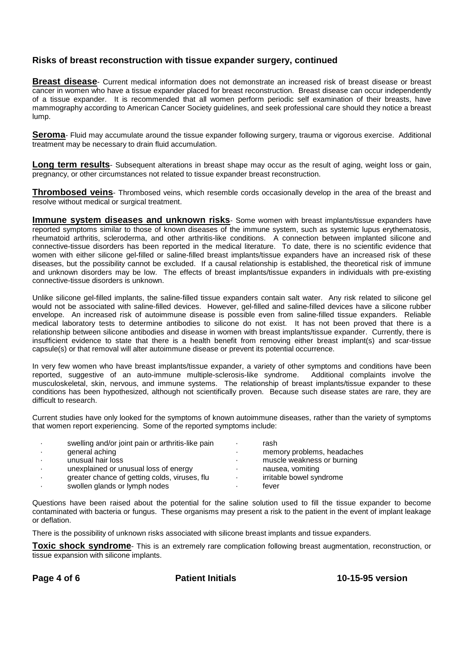**Breast disease**- Current medical information does not demonstrate an increased risk of breast disease or breast cancer in women who have a tissue expander placed for breast reconstruction. Breast disease can occur independently of a tissue expander. It is recommended that all women perform periodic self examination of their breasts, have mammography according to American Cancer Society guidelines, and seek professional care should they notice a breast lump.

**Seroma**- Fluid may accumulate around the tissue expander following surgery, trauma or vigorous exercise. Additional treatment may be necessary to drain fluid accumulation.

**Long term results**- Subsequent alterations in breast shape may occur as the result of aging, weight loss or gain, pregnancy, or other circumstances not related to tissue expander breast reconstruction.

**Thrombosed veins**- Thrombosed veins, which resemble cords occasionally develop in the area of the breast and resolve without medical or surgical treatment.

**Immune system diseases and unknown risks**- Some women with breast implants/tissue expanders have reported symptoms similar to those of known diseases of the immune system, such as systemic lupus erythematosis, rheumatoid arthritis, scleroderma, and other arthritis-like conditions. A connection between implanted silicone and connective-tissue disorders has been reported in the medical literature. To date, there is no scientific evidence that women with either silicone gel-filled or saline-filled breast implants/tissue expanders have an increased risk of these diseases, but the possibility cannot be excluded. If a causal relationship is established, the theoretical risk of immune and unknown disorders may be low. The effects of breast implants/tissue expanders in individuals with pre-existing connective-tissue disorders is unknown.

Unlike silicone gel-filled implants, the saline-filled tissue expanders contain salt water. Any risk related to silicone gel would not be associated with saline-filled devices. However, gel-filled and saline-filled devices have a silicone rubber envelope. An increased risk of autoimmune disease is possible even from saline-filled tissue expanders. Reliable medical laboratory tests to determine antibodies to silicone do not exist. It has not been proved that there is a relationship between silicone antibodies and disease in women with breast implants/tissue expander. Currently, there is insufficient evidence to state that there is a health benefit from removing either breast implant(s) and scar-tissue capsule(s) or that removal will alter autoimmune disease or prevent its potential occurrence.

In very few women who have breast implants/tissue expander, a variety of other symptoms and conditions have been reported, suggestive of an auto-immune multiple-sclerosis-like syndrome. Additional complaints involve the musculoskeletal, skin, nervous, and immune systems. The relationship of breast implants/tissue expander to these conditions has been hypothesized, although not scientifically proven. Because such disease states are rare, they are difficult to research.

Current studies have only looked for the symptoms of known autoimmune diseases, rather than the variety of symptoms that women report experiencing. Some of the reported symptoms include:

| swelling and/or joint pain or arthritis-like pain | rash                       |
|---------------------------------------------------|----------------------------|
| general aching                                    | memory problems, headaches |
| unusual hair loss                                 | muscle weakness or burning |
| unexplained or unusual loss of energy             | nausea, vomiting           |
| greater chance of getting colds, viruses, flu     | irritable bowel syndrome   |
| swollen glands or lymph nodes                     | fever                      |

Questions have been raised about the potential for the saline solution used to fill the tissue expander to become contaminated with bacteria or fungus. These organisms may present a risk to the patient in the event of implant leakage or deflation.

There is the possibility of unknown risks associated with silicone breast implants and tissue expanders.

**Toxic shock syndrome**- This is an extremely rare complication following breast augmentation, reconstruction, or tissue expansion with silicone implants.

Page 4 of 6 **Patient Initials** 10-15-95 version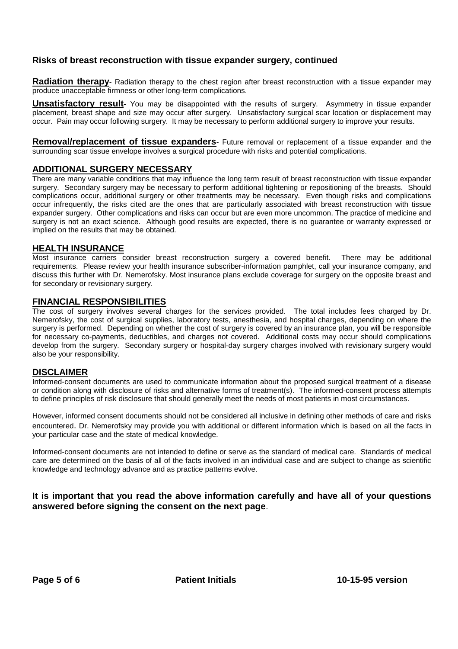**Radiation therapy**- Radiation therapy to the chest region after breast reconstruction with a tissue expander may produce unacceptable firmness or other long-term complications.

**Unsatisfactory result**- You may be disappointed with the results of surgery. Asymmetry in tissue expander placement, breast shape and size may occur after surgery. Unsatisfactory surgical scar location or displacement may occur. Pain may occur following surgery. It may be necessary to perform additional surgery to improve your results.

**Removal/replacement of tissue expanders**- Future removal or replacement of a tissue expander and the surrounding scar tissue envelope involves a surgical procedure with risks and potential complications.

## **ADDITIONAL SURGERY NECESSARY**

There are many variable conditions that may influence the long term result of breast reconstruction with tissue expander surgery. Secondary surgery may be necessary to perform additional tightening or repositioning of the breasts. Should complications occur, additional surgery or other treatments may be necessary. Even though risks and complications occur infrequently, the risks cited are the ones that are particularly associated with breast reconstruction with tissue expander surgery. Other complications and risks can occur but are even more uncommon. The practice of medicine and surgery is not an exact science. Although good results are expected, there is no guarantee or warranty expressed or implied on the results that may be obtained.

#### **HEALTH INSURANCE**

Most insurance carriers consider breast reconstruction surgery a covered benefit. There may be additional requirements. Please review your health insurance subscriber-information pamphlet, call your insurance company, and discuss this further with Dr. Nemerofsky. Most insurance plans exclude coverage for surgery on the opposite breast and for secondary or revisionary surgery.

#### **FINANCIAL RESPONSIBILITIES**

The cost of surgery involves several charges for the services provided. The total includes fees charged by Dr. Nemerofsky, the cost of surgical supplies, laboratory tests, anesthesia, and hospital charges, depending on where the surgery is performed. Depending on whether the cost of surgery is covered by an insurance plan, you will be responsible for necessary co-payments, deductibles, and charges not covered. Additional costs may occur should complications develop from the surgery. Secondary surgery or hospital-day surgery charges involved with revisionary surgery would also be your responsibility.

### **DISCLAIMER**

Informed-consent documents are used to communicate information about the proposed surgical treatment of a disease or condition along with disclosure of risks and alternative forms of treatment(s). The informed-consent process attempts to define principles of risk disclosure that should generally meet the needs of most patients in most circumstances.

However, informed consent documents should not be considered all inclusive in defining other methods of care and risks encountered. Dr. Nemerofsky may provide you with additional or different information which is based on all the facts in your particular case and the state of medical knowledge.

Informed-consent documents are not intended to define or serve as the standard of medical care. Standards of medical care are determined on the basis of all of the facts involved in an individual case and are subject to change as scientific knowledge and technology advance and as practice patterns evolve.

## **It is important that you read the above information carefully and have all of your questions answered before signing the consent on the next page**.